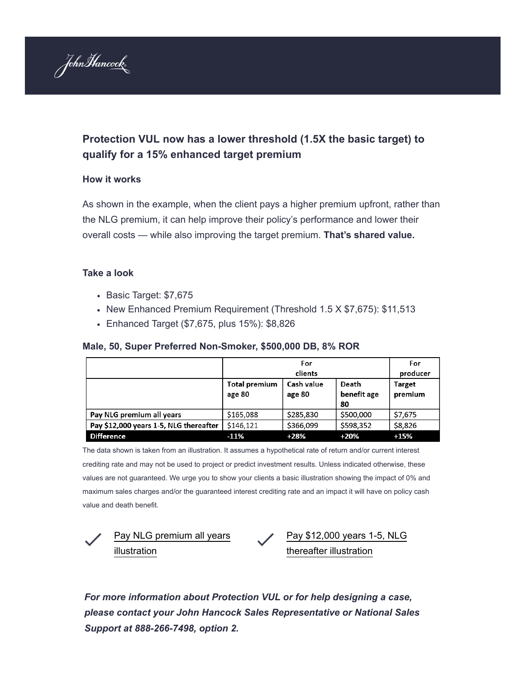

## **Protection VUL now has a lower threshold (1.5X the basic target) to qualify for a 15% enhanced target premium**

## **How it works**

As shown in the example, when the client pays a higher premium upfront, rather than the NLG premium, it can help improve their policy's performance and lower their overall costs — while also improving the target premium. **That's shared value.**

## **Take a look**

- Basic Target: \$7,675
- New Enhanced Premium Requirement (Threshold 1.5 X \$7,675): \$11,513
- Enhanced Target (\$7,675, plus 15%): \$8,826

## **Male, 50, Super Preferred Non-Smoker, \$500,000 DB, 8% ROR**

|                                        | For<br>clients                 |                      |                            | For<br>producer   |
|----------------------------------------|--------------------------------|----------------------|----------------------------|-------------------|
|                                        | <b>Total premium</b><br>age 80 | Cash value<br>age 80 | Death<br>benefit age<br>80 | Target<br>premium |
| Pay NLG premium all years              | \$165,088                      | \$285,830            | \$500,000                  | \$7,675           |
| Pay \$12,000 years 1-5, NLG thereafter | \$146,121                      | \$366,099            | \$598,352                  | \$8,826           |
| <b>Difference</b>                      | $-11%$                         | $+28%$               | $+20%$                     | $+15%$            |

The data shown is taken from an illustration. It assumes a hypothetical rate of return and/or current interest crediting rate and may not be used to project or predict investment results. Unless indicated otherwise, these values are not guaranteed. We urge you to show your clients a basic illustration showing the impact of 0% and maximum sales charges and/or the guaranteed interest crediting rate and an impact it will have on policy cash value and death benefit.



[Pay NLG premium all years](https://go.johnhancockinsurance.com/ol/j0hZccHOL1xQsRomuqipAJO8z2KNIs_86vEwRKW-hJdolFhsfeiCdQy42YICRdQ_du6XBV9AVZRoxFEIXPObIdAG__xZVlKhWTXrj7L6Y4RMY7V60tJ07amr22UVq8-WnFneGgENT3wqcQ-ZNO5202ywZ8B0GQCP_3jKBpIuwXpb1O1ThcTteKug6XL9swKA/jEtQcMPMLVlNoVdlsbPWMajhmiaOcJegtbR8B_Tp0cQ311trYO3BO0Shi9xcU5E9a_2bDxZfF5FsjyZwM86mM4RP-eBQDk-mS3TqjrLfbJhcdLA-2M5i6qWg1nQW5dWLlljJBwACSXdpKTarXJMfiDjxNZwcTwKetGvFM9gulzw3kbIPi7-PWOOYzVGDwk2W9BiqN3Bcxea-yUqIB8g51vo5q20y0ForQtf5xiX_kZUKvggs99hQoApi4uleGZ051iKzXBu6wrncfLx-E-G8o8f-7PoDNjA6m7wLKEL0OVmdFpiXbnVk5h-GrxIuZGleJT52WbofggHUtW5uQ7skTTrmkhMc) illustration

[Pay \\$12,000 years 1-5, NLG](https://go.johnhancockinsurance.com/ol/j0hZccDHK1xQsRomuqipAJO8z2KNIs_86vEwRKW-hJdolFhsfeiCdQy42YICRdQ_du6XBV9AVZRoxFEIXPObIdAG__xZVlKhWTXrj7L6Y4RMY7V60tJ07amr22UVq8-WnFneGgENT3wqcQ-ZNO5202ywZ8B0GQCP_3jKBpIuwXpb1elchMDteKug6XL9swKA/jEtRdMzNKVlNoVdlsbPWMajhmiaOcJegtbR8B_Tp0cQ311trYO3BO0Shi9xcU5E9a_2bDxZfF5FsjyZwM86mM4RP-eBQDk-mS3TqjrLfbJhcdLA-2M5i6qWg1nQW5dWLlljJBwACSXdpKTarXJMf1W_sD8U6WgKV6TXRMYF8kSMcuqkL3c-GWZbk10WC1nPPvC2jEFJcxeC8z3-qOJI7yJosh1UI_mgscN_B7BDX-u8MhjEV4u5DqjF5--hnDPA8sSW4ZCbcvanOa9s6UuTmntHXsK0uRUcZhpUXXj39DEuxIZOKdjUm5ASAnAwfJ248FjNUJb97owCU7HNPQ99ebCuuyiMZ-w,,) thereafter illustration

*For more information about Protection VUL or for help designing a case, please contact your John Hancock Sales Representative or National Sales Support at 888-266-7498, option 2.*